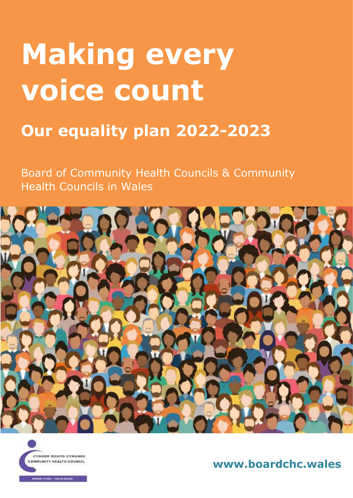# **Making every voice count**

## **Our equality plan 2022-2023**

Board of Community Health Councils & Community Health Councils in Wales





**www.boardchc.wales**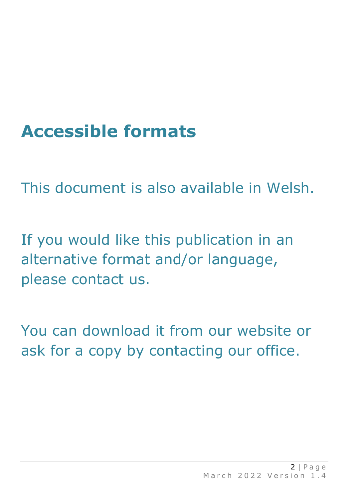## **Accessible formats**

This document is also available in Welsh.

If you would like this publication in an alternative format and/or language, please contact us.

You can download it from our website or ask for a copy by contacting our office.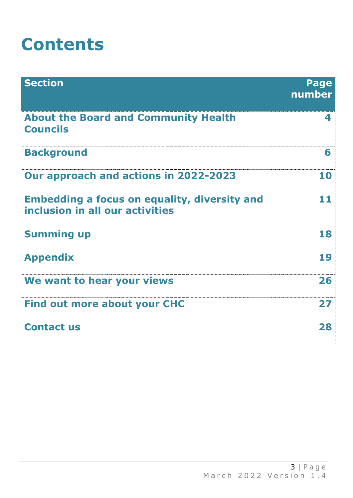## **Contents**

| <b>Section</b>                                                                         | Page<br>number   |
|----------------------------------------------------------------------------------------|------------------|
| <b>About the Board and Community Health</b><br><b>Councils</b>                         | $\blacktriangle$ |
| <b>Background</b>                                                                      | 6                |
| Our approach and actions in 2022-2023                                                  | 10               |
| <b>Embedding a focus on equality, diversity and</b><br>inclusion in all our activities | 11               |
| <b>Summing up</b>                                                                      | 18               |
| <b>Appendix</b>                                                                        | 19               |
| We want to hear your views                                                             | 26               |
| <b>Find out more about your CHC</b>                                                    | 27               |
| <b>Contact us</b>                                                                      | 28               |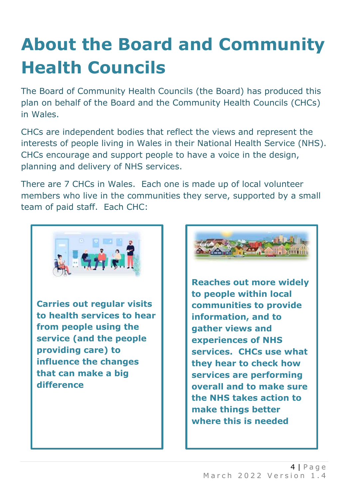## **About the Board and Community Health Councils**

The Board of Community Health Councils (the Board) has produced this plan on behalf of the Board and the Community Health Councils (CHCs) in Wales.

CHCs are independent bodies that reflect the views and represent the interests of people living in Wales in their National Health Service (NHS). CHCs encourage and support people to have a voice in the design, planning and delivery of NHS services.

There are 7 CHCs in Wales. Each one is made up of local volunteer members who live in the communities they serve, supported by a small team of paid staff. Each CHC:



**Carries out regular visits to health services to hear from people using the service (and the people providing care) to influence the changes that can make a big difference**



**Reaches out more widely to people within local communities to provide information, and to gather views and experiences of NHS services. CHCs use what they hear to check how services are performing overall and to make sure the NHS takes action to make things better where this is needed**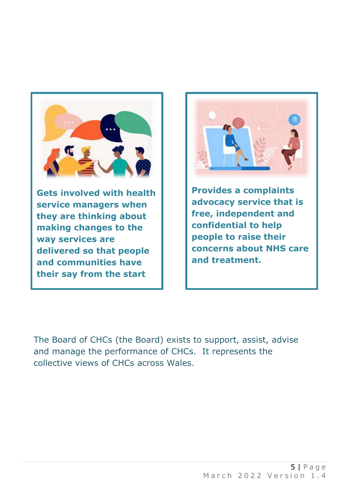

**Gets involved with health service managers when they are thinking about making changes to the way services are delivered so that people and communities have their say from the start**



**Provides a complaints advocacy service that is free, independent and confidential to help people to raise their concerns about NHS care and treatment.** 

The Board of CHCs (the Board) exists to support, assist, advise and manage the performance of CHCs. It represents the collective views of CHCs across Wales.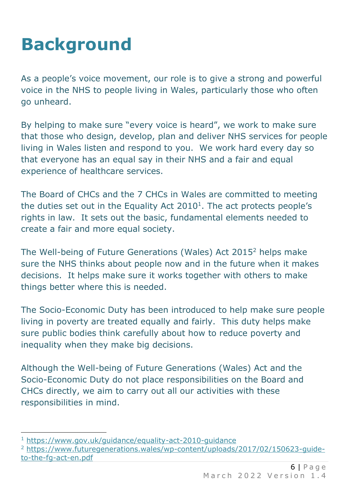## **Background**

As a people's voice movement, our role is to give a strong and powerful voice in the NHS to people living in Wales, particularly those who often go unheard.

By helping to make sure "every voice is heard", we work to make sure that those who design, develop, plan and deliver NHS services for people living in Wales listen and respond to you. We work hard every day so that everyone has an equal say in their NHS and a fair and equal experience of healthcare services.

The Board of CHCs and the 7 CHCs in Wales are committed to meeting the duties set out in the Equality Act  $2010<sup>1</sup>$ . The act protects people's rights in law. It sets out the basic, fundamental elements needed to create a fair and more equal society.

The Well-being of Future Generations (Wales) Act 2015<sup>2</sup> helps make sure the NHS thinks about people now and in the future when it makes decisions. It helps make sure it works together with others to make things better where this is needed.

The Socio-Economic Duty has been introduced to help make sure people living in poverty are treated equally and fairly. This duty helps make sure public bodies think carefully about how to reduce poverty and inequality when they make big decisions.

Although the Well-being of Future Generations (Wales) Act and the Socio-Economic Duty do not place responsibilities on the Board and CHCs directly, we aim to carry out all our activities with these responsibilities in mind.

<sup>1</sup> <https://www.gov.uk/guidance/equality-act-2010-guidance>

<sup>2</sup> [https://www.futuregenerations.wales/wp-content/uploads/2017/02/150623-guide](https://www.futuregenerations.wales/wp-content/uploads/2017/02/150623-guide-to-the-fg-act-en.pdf)[to-the-fg-act-en.pdf](https://www.futuregenerations.wales/wp-content/uploads/2017/02/150623-guide-to-the-fg-act-en.pdf)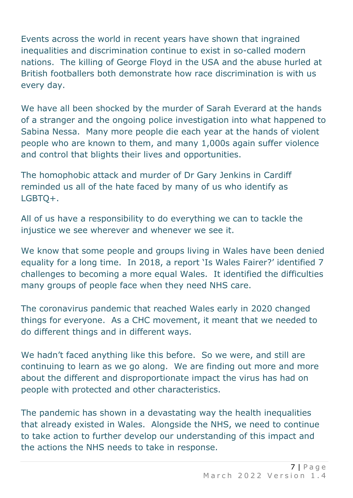Events across the world in recent years have shown that ingrained inequalities and discrimination continue to exist in so-called modern nations. The killing of George Floyd in the USA and the abuse hurled at British footballers both demonstrate how race discrimination is with us every day.

We have all been shocked by the murder of Sarah Everard at the hands of a stranger and the ongoing police investigation into what happened to Sabina Nessa. Many more people die each year at the hands of violent people who are known to them, and many 1,000s again suffer violence and control that blights their lives and opportunities.

The homophobic attack and murder of Dr Gary Jenkins in Cardiff reminded us all of the hate faced by many of us who identify as LGBTQ+.

All of us have a responsibility to do everything we can to tackle the injustice we see wherever and whenever we see it.

We know that some people and groups living in Wales have been denied equality for a long time. In 2018, a report 'Is Wales Fairer?' identified 7 challenges to becoming a more equal Wales. It identified the difficulties many groups of people face when they need NHS care.

The coronavirus pandemic that reached Wales early in 2020 changed things for everyone. As a CHC movement, it meant that we needed to do different things and in different ways.

We hadn't faced anything like this before. So we were, and still are continuing to learn as we go along. We are finding out more and more about the different and disproportionate impact the virus has had on people with protected and other characteristics.

The pandemic has shown in a devastating way the health inequalities that already existed in Wales. Alongside the NHS, we need to continue to take action to further develop our understanding of this impact and the actions the NHS needs to take in response.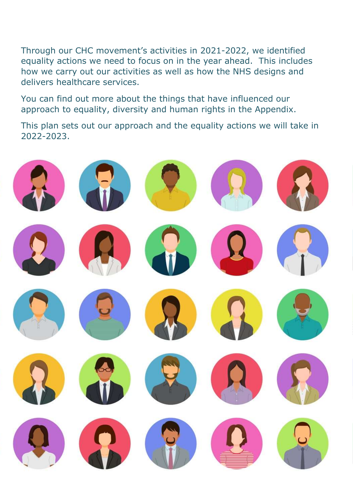Through our CHC movement's activities in 2021-2022, we identified equality actions we need to focus on in the year ahead. This includes how we carry out our activities as well as how the NHS designs and delivers healthcare services.

You can find out more about the things that have influenced our approach to equality, diversity and human rights in the Appendix.

This plan sets out our approach and the equality actions we will take in 2022-2023.

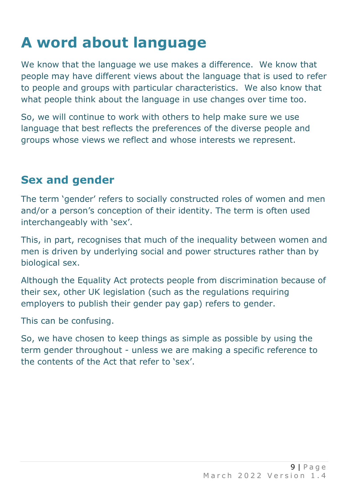## **A word about language**

We know that the language we use makes a difference. We know that people may have different views about the language that is used to refer to people and groups with particular characteristics. We also know that what people think about the language in use changes over time too.

So, we will continue to work with others to help make sure we use language that best reflects the preferences of the diverse people and groups whose views we reflect and whose interests we represent.

#### **Sex and gender**

The term 'gender' refers to socially constructed roles of women and men and/or a person's conception of their identity. The term is often used interchangeably with 'sex'.

This, in part, recognises that much of the inequality between women and men is driven by underlying social and power structures rather than by biological sex.

Although the Equality Act protects people from discrimination because of their sex, other UK legislation (such as the regulations requiring employers to publish their gender pay gap) refers to gender.

This can be confusing.

So, we have chosen to keep things as simple as possible by using the term gender throughout - unless we are making a specific reference to the contents of the Act that refer to 'sex'.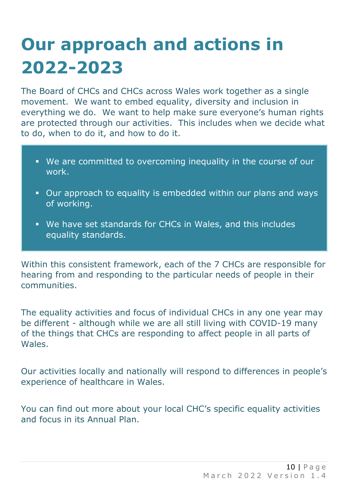## **Our approach and actions in 2022-2023**

The Board of CHCs and CHCs across Wales work together as a single movement. We want to embed equality, diversity and inclusion in everything we do. We want to help make sure everyone's human rights are protected through our activities. This includes when we decide what to do, when to do it, and how to do it.

- We are committed to overcoming inequality in the course of our work.
- **.** Our approach to equality is embedded within our plans and ways of working.
- **.** We have set standards for CHCs in Wales, and this includes equality standards.

Within this consistent framework, each of the 7 CHCs are responsible for hearing from and responding to the particular needs of people in their communities.

The equality activities and focus of individual CHCs in any one year may be different - although while we are all still living with COVID-19 many of the things that CHCs are responding to affect people in all parts of Wales.

Our activities locally and nationally will respond to differences in people's experience of healthcare in Wales.

You can find out more about your local CHC's specific equality activities and focus in its Annual Plan.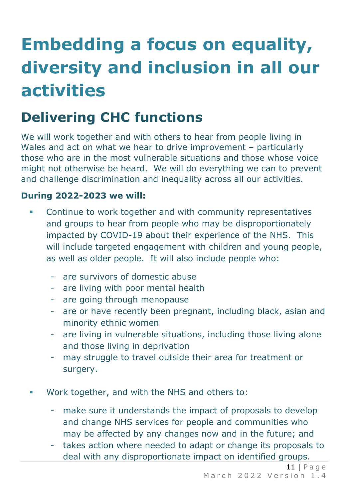## **Embedding a focus on equality, diversity and inclusion in all our activities**

### **Delivering CHC functions**

We will work together and with others to hear from people living in Wales and act on what we hear to drive improvement – particularly those who are in the most vulnerable situations and those whose voice might not otherwise be heard. We will do everything we can to prevent and challenge discrimination and inequality across all our activities.

- **•** Continue to work together and with community representatives and groups to hear from people who may be disproportionately impacted by COVID-19 about their experience of the NHS. This will include targeted engagement with children and young people, as well as older people. It will also include people who:
	- are survivors of domestic abuse
	- are living with poor mental health
	- are going through menopause
	- are or have recently been pregnant, including black, asian and minority ethnic women
	- are living in vulnerable situations, including those living alone and those living in deprivation
	- may struggle to travel outside their area for treatment or surgery.
- Work together, and with the NHS and others to:
	- make sure it understands the impact of proposals to develop and change NHS services for people and communities who may be affected by any changes now and in the future; and
	- takes action where needed to adapt or change its proposals to deal with any disproportionate impact on identified groups.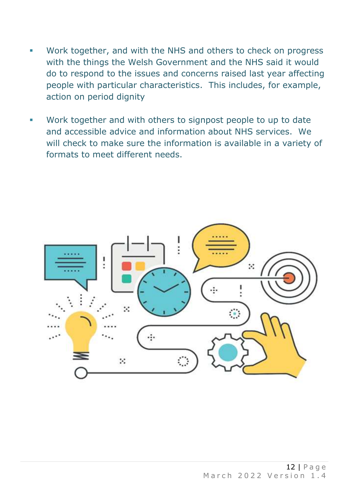- Work together, and with the NHS and others to check on progress with the things the Welsh Government and the NHS said it would do to respond to the issues and concerns raised last year affecting people with particular characteristics. This includes, for example, action on period dignity
- Work together and with others to signpost people to up to date and accessible advice and information about NHS services. We will check to make sure the information is available in a variety of formats to meet different needs.

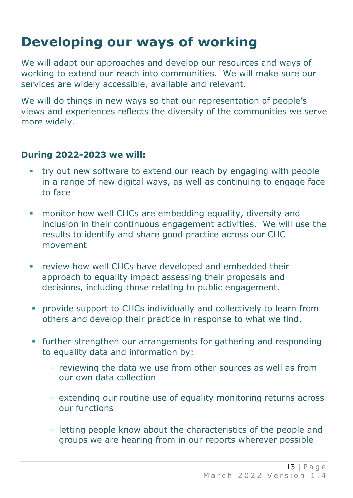## **Developing our ways of working**

We will adapt our approaches and develop our resources and ways of working to extend our reach into communities. We will make sure our services are widely accessible, available and relevant.

We will do things in new ways so that our representation of people's views and experiences reflects the diversity of the communities we serve more widely.

- **try out new software to extend our reach by engaging with people** in a range of new digital ways, as well as continuing to engage face to face
- **monitor how well CHCs are embedding equality, diversity and** inclusion in their continuous engagement activities. We will use the results to identify and share good practice across our CHC movement.
- **EXECUTE:** review how well CHCs have developed and embedded their approach to equality impact assessing their proposals and decisions, including those relating to public engagement.
- **•** provide support to CHCs individually and collectively to learn from others and develop their practice in response to what we find.
- **•** further strengthen our arrangements for gathering and responding to equality data and information by:
	- reviewing the data we use from other sources as well as from our own data collection
	- extending our routine use of equality monitoring returns across our functions
	- letting people know about the characteristics of the people and groups we are hearing from in our reports wherever possible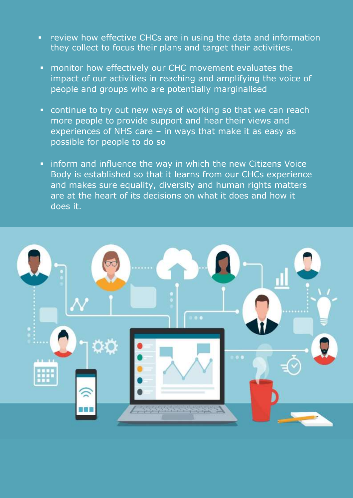- **•** review how effective CHCs are in using the data and information they collect to focus their plans and target their activities.
- **EX monitor how effectively our CHC movement evaluates the** impact of our activities in reaching and amplifying the voice of people and groups who are potentially marginalised
- **EX continue to try out new ways of working so that we can reach** more people to provide support and hear their views and experiences of NHS care – in ways that make it as easy as possible for people to do so
- **.** inform and influence the way in which the new Citizens Voice Body is established so that it learns from our CHCs experience and makes sure equality, diversity and human rights matters are at the heart of its decisions on what it does and how it does it.

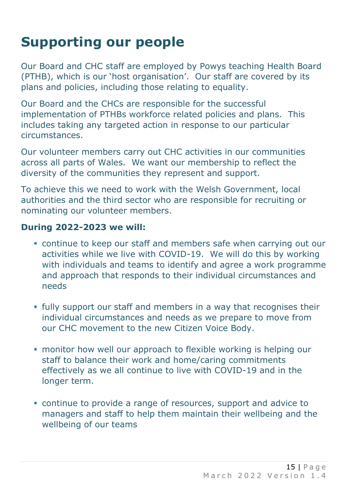### **Supporting our people**

Our Board and CHC staff are employed by Powys teaching Health Board (PTHB), which is our 'host organisation'. Our staff are covered by its plans and policies, including those relating to equality.

Our Board and the CHCs are responsible for the successful implementation of PTHBs workforce related policies and plans. This includes taking any targeted action in response to our particular circumstances.

Our volunteer members carry out CHC activities in our communities across all parts of Wales. We want our membership to reflect the diversity of the communities they represent and support.

To achieve this we need to work with the Welsh Government, local authorities and the third sector who are responsible for recruiting or nominating our volunteer members.

- continue to keep our staff and members safe when carrying out our activities while we live with COVID-19. We will do this by working with individuals and teams to identify and agree a work programme and approach that responds to their individual circumstances and needs
- **.** fully support our staff and members in a way that recognises their individual circumstances and needs as we prepare to move from our CHC movement to the new Citizen Voice Body.
- **monitor how well our approach to flexible working is helping our** staff to balance their work and home/caring commitments effectively as we all continue to live with COVID-19 and in the longer term.
- continue to provide a range of resources, support and advice to managers and staff to help them maintain their wellbeing and the wellbeing of our teams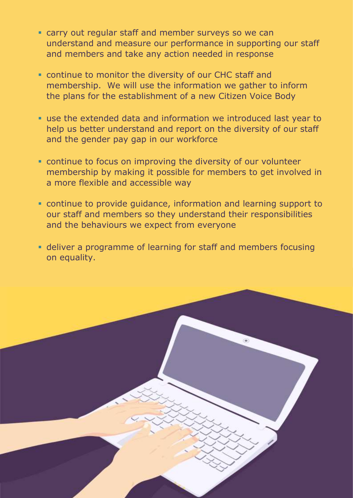- earty our regatal beam and member our reyo of the earth-<br>understand and measure our performance in supporting our staff and members and take any action needed in response **Example 2** carry out regular staff and member surveys so we can
- **Example to monitor the diversity of our CHC staff and various better to help us better to help us b** membership. We will use the information we gather to inform the plans for the establishment of a new Citizen Voice Body
- use the extended data and information we introduced last year to help us better understand and report on the diversity of our staff  $\mathbf{r}_i$  review the guidance, information and learning support we provide support we provide support we provide and the gender pay gap in our workforce
- continue to focus on improving the diversity of our volunteer and the behaviour of the behaviour system expect from eventy of the contribution.  $\mathcal{L}$  deliver a programme of learning for staff and members for staff and members for staff and members for staff and members for staff and members for staff and members for staff and members for staff and members for a more flexible and accessible way
	- continue to provide guidance, information and learning support to our staff and members so they understand their responsibilities and the behaviours we expect from everyone
	- **Example 1** deliver a programme of learning for staff and members focusing on equality.

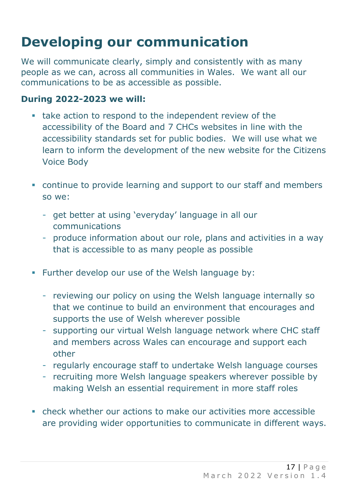## **Developing our communication**

We will communicate clearly, simply and consistently with as many people as we can, across all communities in Wales. We want all our communications to be as accessible as possible.

- take action to respond to the independent review of the accessibility of the Board and 7 CHCs websites in line with the accessibility standards set for public bodies. We will use what we learn to inform the development of the new website for the Citizens Voice Body
- continue to provide learning and support to our staff and members so we:
	- get better at using 'everyday' language in all our communications
	- produce information about our role, plans and activities in a way that is accessible to as many people as possible
- Further develop our use of the Welsh language by:
	- reviewing our policy on using the Welsh language internally so that we continue to build an environment that encourages and supports the use of Welsh wherever possible
	- supporting our virtual Welsh language network where CHC staff and members across Wales can encourage and support each other
	- regularly encourage staff to undertake Welsh language courses
	- recruiting more Welsh language speakers wherever possible by making Welsh an essential requirement in more staff roles
- check whether our actions to make our activities more accessible are providing wider opportunities to communicate in different ways.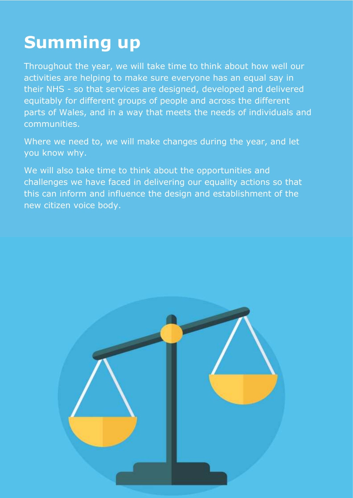## **Summing up**

Throughout the year, we will take time to think about how well our activities are helping to make sure everyone has an equal say in their NHS - so that services are designed, developed and delivered equitably for different groups of people and across the different parts of Wales, and in a way that meets the needs of individuals and communities.

Where we need to, we will make changes during the year, and let you know why.

We will also take time to think about the opportunities and challenges we have faced in delivering our equality actions so that this can inform and influence the design and establishment of the new citizen voice body.

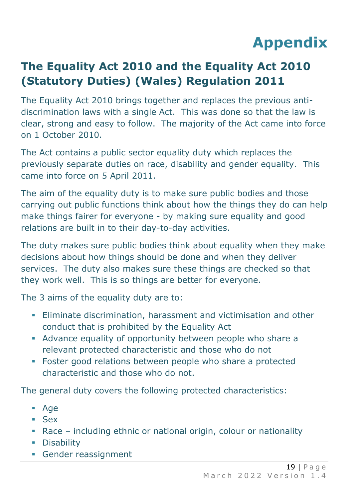## **Appendix**

### **The Equality Act 2010 and the Equality Act 2010 (Statutory Duties) (Wales) Regulation 2011**

The Equality Act 2010 brings together and replaces the previous antidiscrimination laws with a single Act. This was done so that the law is clear, strong and easy to follow. The majority of the Act came into force on 1 October 2010.

The Act contains a public sector equality duty which replaces the previously separate duties on race, disability and gender equality. This came into force on 5 April 2011.

The aim of the equality duty is to make sure public bodies and those carrying out public functions think about how the things they do can help make things fairer for everyone - by making sure equality and good relations are built in to their day-to-day activities.

The duty makes sure public bodies think about equality when they make decisions about how things should be done and when they deliver services. The duty also makes sure these things are checked so that they work well. This is so things are better for everyone.

The 3 aims of the equality duty are to:

- **Eliminate discrimination, harassment and victimisation and other** conduct that is prohibited by the Equality Act
- Advance equality of opportunity between people who share a relevant protected characteristic and those who do not
- Foster good relations between people who share a protected characteristic and those who do not.

The general duty covers the following protected characteristics:

- Age
- Sex
- Race including ethnic or national origin, colour or nationality
- **•** Disability
- **Gender reassignment**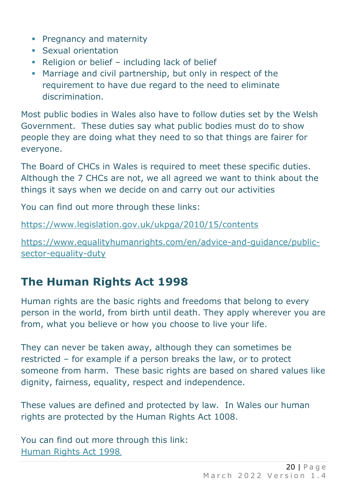- **Pregnancy and maternity**
- **Sexual orientation**
- Religion or belief including lack of belief
- **Marriage and civil partnership, but only in respect of the** requirement to have due regard to the need to eliminate discrimination.

Most public bodies in Wales also have to follow duties set by the Welsh Government. These duties say what public bodies must do to show people they are doing what they need to so that things are fairer for everyone.

The Board of CHCs in Wales is required to meet these specific duties. Although the 7 CHCs are not, we all agreed we want to think about the things it says when we decide on and carry out our activities

You can find out more through these links:

<https://www.legislation.gov.uk/ukpga/2010/15/contents>

[https://www.equalityhumanrights.com/en/advice-and-guidance/public](https://www.equalityhumanrights.com/en/advice-and-guidance/public-sector-equality-duty)[sector-equality-duty](https://www.equalityhumanrights.com/en/advice-and-guidance/public-sector-equality-duty) 

### **The Human Rights Act 1998**

Human rights are the basic rights and freedoms that belong to every person in the world, from birth until death. They apply wherever you are from, what you believe or how you choose to live your life.

They can never be taken away, although they can sometimes be restricted – for example if a person breaks the law, or to protect someone from harm. These basic rights are based on shared values like dignity, fairness, equality, respect and independence.

These values are defined and protected by law. In Wales our human rights are protected by the Human Rights Act 1008.

You can find out more through this link: [Human Rights Act 1998](https://www.equalityhumanrights.com/en/human-rights/human-rights-act).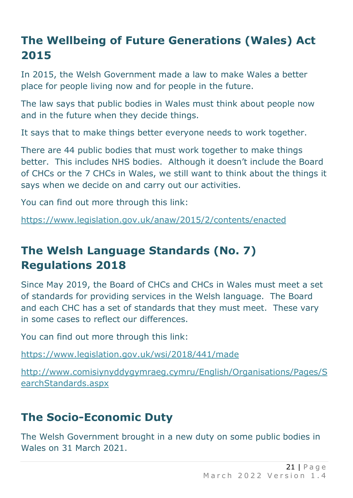#### **The Wellbeing of Future Generations (Wales) Act 2015**

In 2015, the Welsh Government made a law to make Wales a better place for people living now and for people in the future.

The law says that public bodies in Wales must think about people now and in the future when they decide things.

It says that to make things better everyone needs to work together.

There are 44 public bodies that must work together to make things better. This includes NHS bodies. Although it doesn't include the Board of CHCs or the 7 CHCs in Wales, we still want to think about the things it says when we decide on and carry out our activities.

You can find out more through this link:

<https://www.legislation.gov.uk/anaw/2015/2/contents/enacted>

#### **The Welsh Language Standards (No. 7) Regulations 2018**

Since May 2019, the Board of CHCs and CHCs in Wales must meet a set of standards for providing services in the Welsh language. The Board and each CHC has a set of standards that they must meet. These vary in some cases to reflect our differences.

You can find out more through this link:

<https://www.legislation.gov.uk/wsi/2018/441/made>

[http://www.comisiynyddygymraeg.cymru/English/Organisations/Pages/S](http://www.comisiynyddygymraeg.cymru/English/Organisations/Pages/SearchStandards.aspx) [earchStandards.aspx](http://www.comisiynyddygymraeg.cymru/English/Organisations/Pages/SearchStandards.aspx)

### **The Socio-Economic Duty**

The Welsh Government brought in a new duty on some public bodies in Wales on 31 March 2021.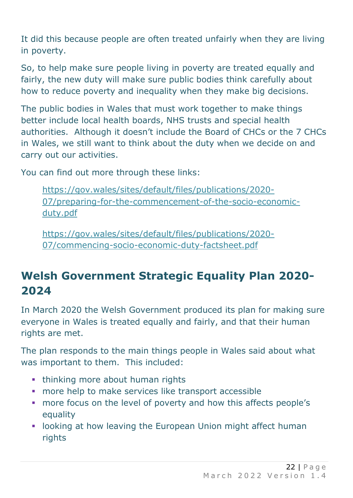It did this because people are often treated unfairly when they are living in poverty.

So, to help make sure people living in poverty are treated equally and fairly, the new duty will make sure public bodies think carefully about how to reduce poverty and inequality when they make big decisions.

The public bodies in Wales that must work together to make things better include local health boards, NHS trusts and special health authorities. Although it doesn't include the Board of CHCs or the 7 CHCs in Wales, we still want to think about the duty when we decide on and carry out our activities.

You can find out more through these links:

[https://gov.wales/sites/default/files/publications/2020-](https://gov.wales/sites/default/files/publications/2020-07/preparing-for-the-commencement-of-the-socio-economic-duty.pdf) [07/preparing-for-the-commencement-of-the-socio-economic](https://gov.wales/sites/default/files/publications/2020-07/preparing-for-the-commencement-of-the-socio-economic-duty.pdf)[duty.pdf](https://gov.wales/sites/default/files/publications/2020-07/preparing-for-the-commencement-of-the-socio-economic-duty.pdf)

[https://gov.wales/sites/default/files/publications/2020-](https://gov.wales/sites/default/files/publications/2020-07/commencing-socio-economic-duty-factsheet.pdf) [07/commencing-socio-economic-duty-factsheet.pdf](https://gov.wales/sites/default/files/publications/2020-07/commencing-socio-economic-duty-factsheet.pdf)

### **Welsh Government Strategic Equality Plan 2020- 2024**

In March 2020 the Welsh Government produced its plan for making sure everyone in Wales is treated equally and fairly, and that their human rights are met.

The plan responds to the main things people in Wales said about what was important to them. This included:

- **thinking more about human rights**
- **·** more help to make services like transport accessible
- more focus on the level of poverty and how this affects people's equality
- **.** looking at how leaving the European Union might affect human rights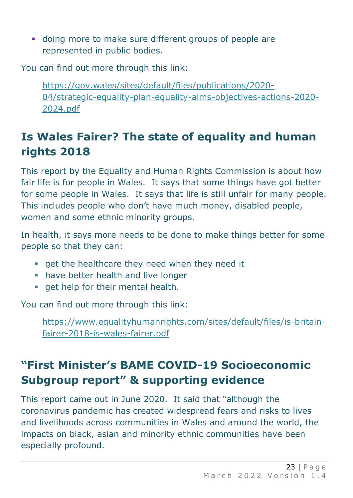▪ doing more to make sure different groups of people are represented in public bodies.

You can find out more through this link:

[https://gov.wales/sites/default/files/publications/2020-](https://gov.wales/sites/default/files/publications/2020-04/strategic-equality-plan-equality-aims-objectives-actions-2020-2024.pdf) [04/strategic-equality-plan-equality-aims-objectives-actions-2020-](https://gov.wales/sites/default/files/publications/2020-04/strategic-equality-plan-equality-aims-objectives-actions-2020-2024.pdf) [2024.pdf](https://gov.wales/sites/default/files/publications/2020-04/strategic-equality-plan-equality-aims-objectives-actions-2020-2024.pdf)

### **Is Wales Fairer? The state of equality and human rights 2018**

This report by the Equality and Human Rights Commission is about how fair life is for people in Wales. It says that some things have got better for some people in Wales. It says that life is still unfair for many people. This includes people who don't have much money, disabled people, women and some ethnic minority groups.

In health, it says more needs to be done to make things better for some people so that they can:

- **•** get the healthcare they need when they need it
- **have better health and live longer**
- **•** get help for their mental health.

You can find out more through this link:

[https://www.equalityhumanrights.com/sites/default/files/is-britain](https://www.equalityhumanrights.com/sites/default/files/is-britain-fairer-2018-is-wales-fairer.pdf)[fairer-2018-is-wales-fairer.pdf](https://www.equalityhumanrights.com/sites/default/files/is-britain-fairer-2018-is-wales-fairer.pdf) 

### **"First Minister's BAME COVID-19 Socioeconomic Subgroup report" & supporting evidence**

This report came out in June 2020. It said that "although the coronavirus pandemic has created widespread fears and risks to lives and livelihoods across communities in Wales and around the world, the impacts on black, asian and minority ethnic communities have been especially profound.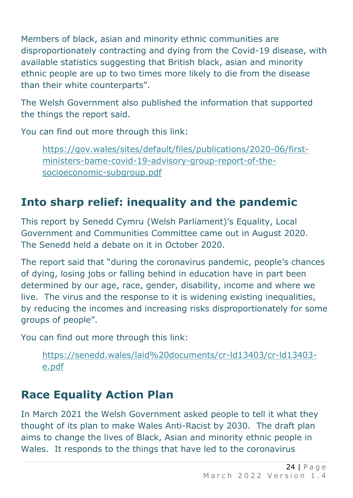Members of black, asian and minority ethnic communities are disproportionately contracting and dying from the Covid-19 disease, with available statistics suggesting that British black, asian and minority ethnic people are up to two times more likely to die from the disease than their white counterparts".

The Welsh Government also published the information that supported the things the report said.

You can find out more through this link:

[https://gov.wales/sites/default/files/publications/2020-06/first](https://gov.wales/sites/default/files/publications/2020-06/first-ministers-bame-covid-19-advisory-group-report-of-the-socioeconomic-subgroup.pdf)[ministers-bame-covid-19-advisory-group-report-of-the](https://gov.wales/sites/default/files/publications/2020-06/first-ministers-bame-covid-19-advisory-group-report-of-the-socioeconomic-subgroup.pdf)[socioeconomic-subgroup.pdf](https://gov.wales/sites/default/files/publications/2020-06/first-ministers-bame-covid-19-advisory-group-report-of-the-socioeconomic-subgroup.pdf)

### **Into sharp relief: inequality and the pandemic**

This report by Senedd Cymru (Welsh Parliament)'s Equality, Local Government and Communities Committee came out in August 2020. The Senedd held a debate on it in October 2020.

The report said that "during the coronavirus pandemic, people's chances of dying, losing jobs or falling behind in education have in part been determined by our age, race, gender, disability, income and where we live. The virus and the response to it is widening existing inequalities, by reducing the incomes and increasing risks disproportionately for some groups of people".

You can find out more through this link:

[https://senedd.wales/laid%20documents/cr-ld13403/cr-ld13403](https://senedd.wales/laid%20documents/cr-ld13403/cr-ld13403-e.pdf) [e.pdf](https://senedd.wales/laid%20documents/cr-ld13403/cr-ld13403-e.pdf)

### **Race Equality Action Plan**

In March 2021 the Welsh Government asked people to tell it what they thought of its plan to make Wales Anti-Racist by 2030. The draft plan aims to change the lives of Black, Asian and minority ethnic people in Wales. It responds to the things that have led to the coronavirus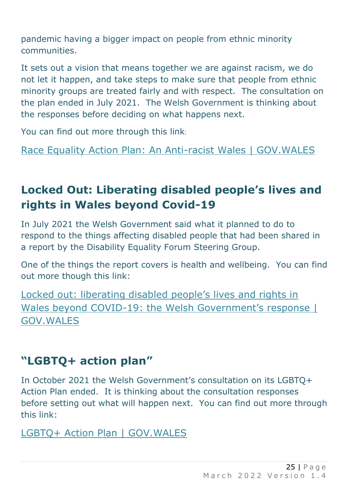pandemic having a bigger impact on people from ethnic minority communities.

It sets out a vision that means together we are against racism, we do not let it happen, and take steps to make sure that people from ethnic minority groups are treated fairly and with respect. The consultation on the plan ended in July 2021. The Welsh Government is thinking about the responses before deciding on what happens next.

You can find out more through this link:

[Race Equality Action Plan: An Anti-racist Wales | GOV.WALES](https://gov.wales/race-equality-action-plan-anti-racist-wales)

#### **Locked Out: Liberating disabled people's lives and rights in Wales beyond Covid-19**

In July 2021 the Welsh Government said what it planned to do to respond to the things affecting disabled people that had been shared in a report by the Disability Equality Forum Steering Group.

One of the things the report covers is health and wellbeing. You can find out more though this link:

Locked o[ut: liberating disabled people's lives and rights in](https://gov.wales/locked-out-liberating-disabled-peoples-lives-and-rights-wales-beyond-covid-19-welsh-governments)  Wales beyond COVID-[19: the Welsh Government's response |](https://gov.wales/locked-out-liberating-disabled-peoples-lives-and-rights-wales-beyond-covid-19-welsh-governments)  [GOV.WALES](https://gov.wales/locked-out-liberating-disabled-peoples-lives-and-rights-wales-beyond-covid-19-welsh-governments)

#### **"LGBTQ+ action plan"**

In October 2021 the Welsh Government's consultation on its LGBTQ+ Action Plan ended. It is thinking about the consultation responses before setting out what will happen next. You can find out more through this link:

[LGBTQ+ Action Plan | GOV.WALES](https://gov.wales/lgbtq-action-plan)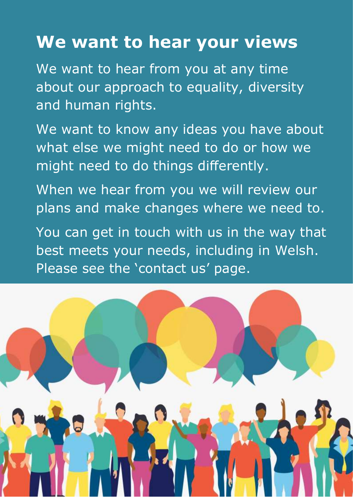## **We want to hear your views**

We want to hear from you at any time about our approach to equality, diversity and human rights.

We want to know any ideas you have about what else we might need to do or how we might need to do things differently.

When we hear from you we will review our plans and make changes where we need to.

You can get in touch with us in the way that best meets your needs, including in Welsh. Please see the 'contact us' page.

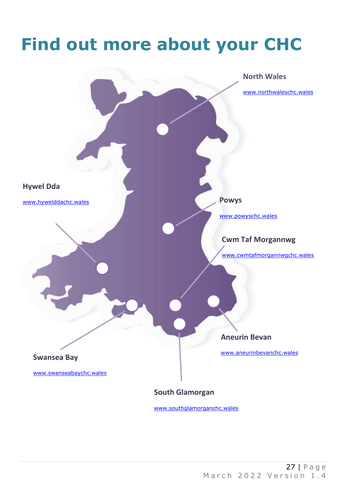## **Find out more about your CHC**

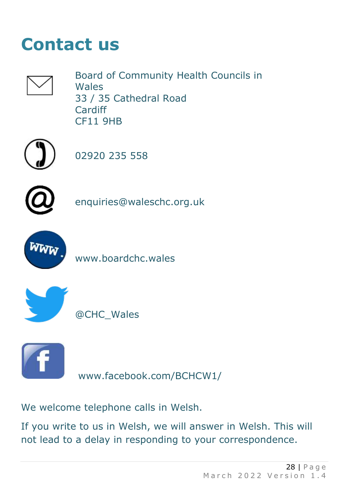## **Contact us**



Board of Community Health Councils in **Wales** 33 / 35 Cathedral Road Cardiff CF11 9HB



02920 235 558



[enquiries@waleschc.org.uk](mailto:enquiries@waleschc.org.uk)



[www.boardchc.wales](http://www.boardchc.wales/)



@CHC\_Wales



[www.facebook.com/BCHCW1/](http://www.facebook.com/BCHCW1/)

We welcome telephone calls in Welsh.

If you write to us in Welsh, we will answer in Welsh. This will not lead to a delay in responding to your correspondence.